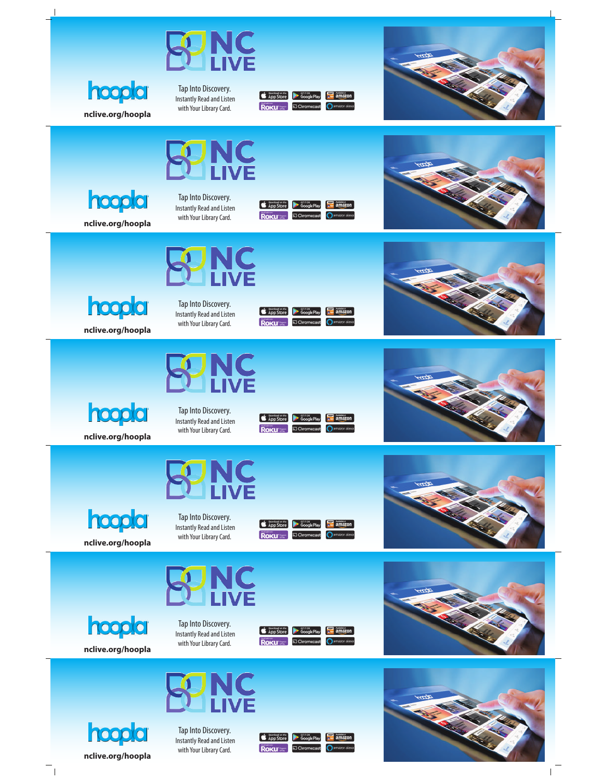

**nclive.org/hoopla**